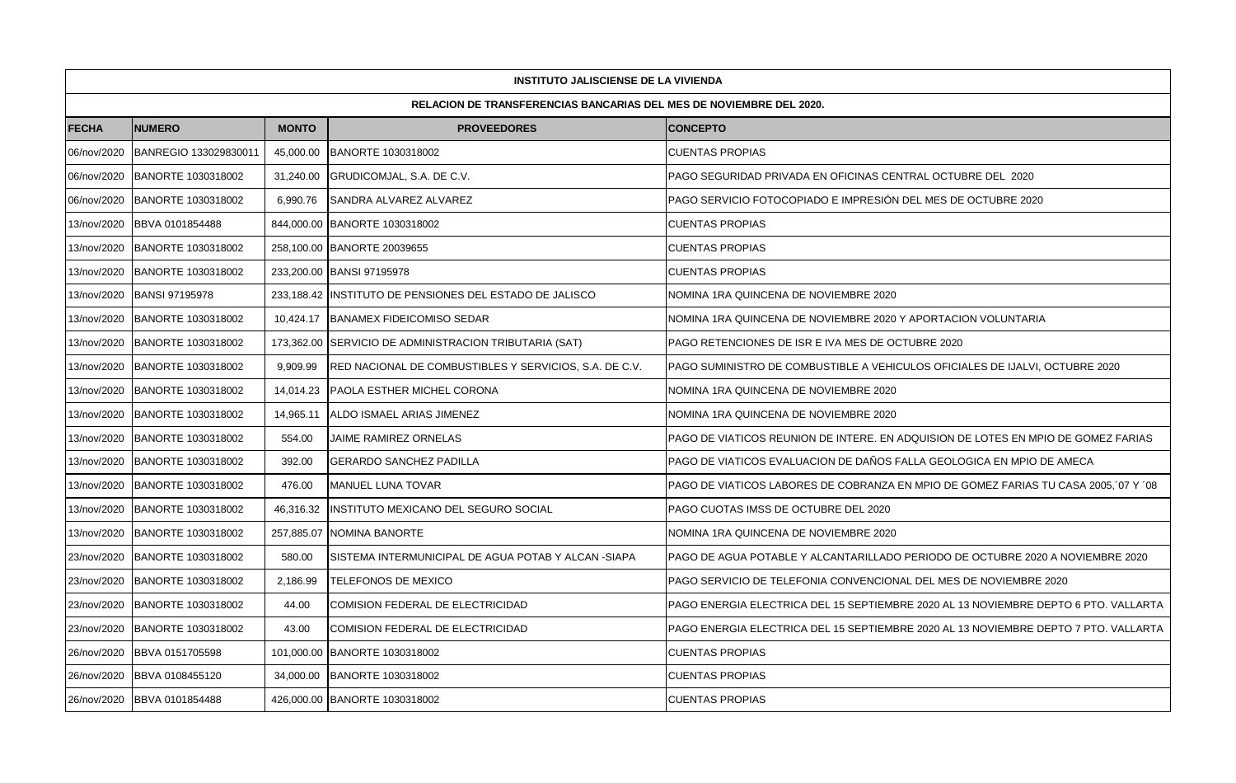|              | <b>INSTITUTO JALISCIENSE DE LA VIVIENDA</b>                                |              |                                                         |                                                                                      |  |  |  |  |  |  |
|--------------|----------------------------------------------------------------------------|--------------|---------------------------------------------------------|--------------------------------------------------------------------------------------|--|--|--|--|--|--|
|              | <b>RELACION DE TRANSFERENCIAS BANCARIAS DEL MES DE NOVIEMBRE DEL 2020.</b> |              |                                                         |                                                                                      |  |  |  |  |  |  |
| <b>FECHA</b> | <b>NUMERO</b>                                                              | <b>MONTO</b> | <b>PROVEEDORES</b>                                      | <b>CONCEPTO</b>                                                                      |  |  |  |  |  |  |
| 06/nov/2020  | BANREGIO 133029830011                                                      |              | 45,000.00 BANORTE 1030318002                            | <b>CUENTAS PROPIAS</b>                                                               |  |  |  |  |  |  |
| 06/nov/2020  | BANORTE 1030318002                                                         | 31,240.00    | GRUDICOMJAL, S.A. DE C.V.                               | PAGO SEGURIDAD PRIVADA EN OFICINAS CENTRAL OCTUBRE DEL 2020                          |  |  |  |  |  |  |
| 06/nov/2020  | BANORTE 1030318002                                                         | 6,990.76     | SANDRA ALVAREZ ALVAREZ                                  | PAGO SERVICIO FOTOCOPIADO E IMPRESIÓN DEL MES DE OCTUBRE 2020                        |  |  |  |  |  |  |
| 13/nov/2020  | BBVA 0101854488                                                            |              | 844,000.00 BANORTE 1030318002                           | <b>CUENTAS PROPIAS</b>                                                               |  |  |  |  |  |  |
| 13/nov/2020  | BANORTE 1030318002                                                         |              | 258,100.00 BANORTE 20039655                             | <b>CUENTAS PROPIAS</b>                                                               |  |  |  |  |  |  |
| 13/nov/2020  | <b>BANORTE 1030318002</b>                                                  |              | 233,200.00 BANSI 97195978                               | <b>CUENTAS PROPIAS</b>                                                               |  |  |  |  |  |  |
| 13/nov/2020  | <b>BANSI 97195978</b>                                                      |              | 233,188.42 INSTITUTO DE PENSIONES DEL ESTADO DE JALISCO | NOMINA 1RA QUINCENA DE NOVIEMBRE 2020                                                |  |  |  |  |  |  |
| 13/nov/2020  | BANORTE 1030318002                                                         |              | 10,424.17   BANAMEX FIDEICOMISO SEDAR                   | NOMINA 1RA QUINCENA DE NOVIEMBRE 2020 Y APORTACION VOLUNTARIA                        |  |  |  |  |  |  |
| 13/nov/2020  | BANORTE 1030318002                                                         |              | 173,362.00 SERVICIO DE ADMINISTRACION TRIBUTARIA (SAT)  | PAGO RETENCIONES DE ISR E IVA MES DE OCTUBRE 2020                                    |  |  |  |  |  |  |
| 13/nov/2020  | BANORTE 1030318002                                                         | 9,909.99     | RED NACIONAL DE COMBUSTIBLES Y SERVICIOS, S.A. DE C.V.  | PAGO SUMINISTRO DE COMBUSTIBLE A VEHICULOS OFICIALES DE IJALVI, OCTUBRE 2020         |  |  |  |  |  |  |
| 13/nov/2020  | BANORTE 1030318002                                                         | 14,014.23    | PAOLA ESTHER MICHEL CORONA                              | NOMINA 1RA QUINCENA DE NOVIEMBRE 2020                                                |  |  |  |  |  |  |
| 13/nov/2020  | BANORTE 1030318002                                                         | 14,965.11    | <b>IALDO ISMAEL ARIAS JIMENEZ</b>                       | NOMINA 1RA QUINCENA DE NOVIEMBRE 2020                                                |  |  |  |  |  |  |
| 13/nov/2020  | BANORTE 1030318002                                                         | 554.00       | JAIME RAMIREZ ORNELAS                                   | PAGO DE VIATICOS REUNION DE INTERE. EN ADQUISION DE LOTES EN MPIO DE GOMEZ FARIAS    |  |  |  |  |  |  |
| 13/nov/2020  | BANORTE 1030318002                                                         | 392.00       | <b>GERARDO SANCHEZ PADILLA</b>                          | PAGO DE VIATICOS EVALUACION DE DAÑOS FALLA GEOLOGICA EN MPIO DE AMECA                |  |  |  |  |  |  |
| 13/nov/2020  | BANORTE 1030318002                                                         | 476.00       | <b>MANUEL LUNA TOVAR</b>                                | PAGO DE VIATICOS LABORES DE COBRANZA EN MPIO DE GOMEZ FARIAS TU CASA 2005, '07 Y '08 |  |  |  |  |  |  |
| 13/nov/2020  | BANORTE 1030318002                                                         | 46,316.32    | INSTITUTO MEXICANO DEL SEGURO SOCIAL                    | PAGO CUOTAS IMSS DE OCTUBRE DEL 2020                                                 |  |  |  |  |  |  |
| 13/nov/2020  | BANORTE 1030318002                                                         | 257,885.07   | NOMINA BANORTE                                          | NOMINA 1RA QUINCENA DE NOVIEMBRE 2020                                                |  |  |  |  |  |  |
| 23/nov/2020  | BANORTE 1030318002                                                         | 580.00       | SISTEMA INTERMUNICIPAL DE AGUA POTAB Y ALCAN -SIAPA     | PAGO DE AGUA POTABLE Y ALCANTARILLADO PERIODO DE OCTUBRE 2020 A NOVIEMBRE 2020       |  |  |  |  |  |  |
| 23/nov/2020  | BANORTE 1030318002                                                         | 2,186.99     | <b>TELEFONOS DE MEXICO</b>                              | PAGO SERVICIO DE TELEFONIA CONVENCIONAL DEL MES DE NOVIEMBRE 2020                    |  |  |  |  |  |  |
| 23/nov/2020  | BANORTE 1030318002                                                         | 44.00        | COMISION FEDERAL DE ELECTRICIDAD                        | PAGO ENERGIA ELECTRICA DEL 15 SEPTIEMBRE 2020 AL 13 NOVIEMBRE DEPTO 6 PTO. VALLARTA  |  |  |  |  |  |  |
| 23/nov/2020  | BANORTE 1030318002                                                         | 43.00        | COMISION FEDERAL DE ELECTRICIDAD                        | PAGO ENERGIA ELECTRICA DEL 15 SEPTIEMBRE 2020 AL 13 NOVIEMBRE DEPTO 7 PTO. VALLARTA  |  |  |  |  |  |  |
| 26/nov/2020  | BBVA 0151705598                                                            |              | 101,000.00 BANORTE 1030318002                           | <b>CUENTAS PROPIAS</b>                                                               |  |  |  |  |  |  |
| 26/nov/2020  | BBVA 0108455120                                                            |              | 34,000.00 BANORTE 1030318002                            | <b>CUENTAS PROPIAS</b>                                                               |  |  |  |  |  |  |
| 26/nov/2020  | BBVA 0101854488                                                            |              | 426,000.00 BANORTE 1030318002                           | <b>CUENTAS PROPIAS</b>                                                               |  |  |  |  |  |  |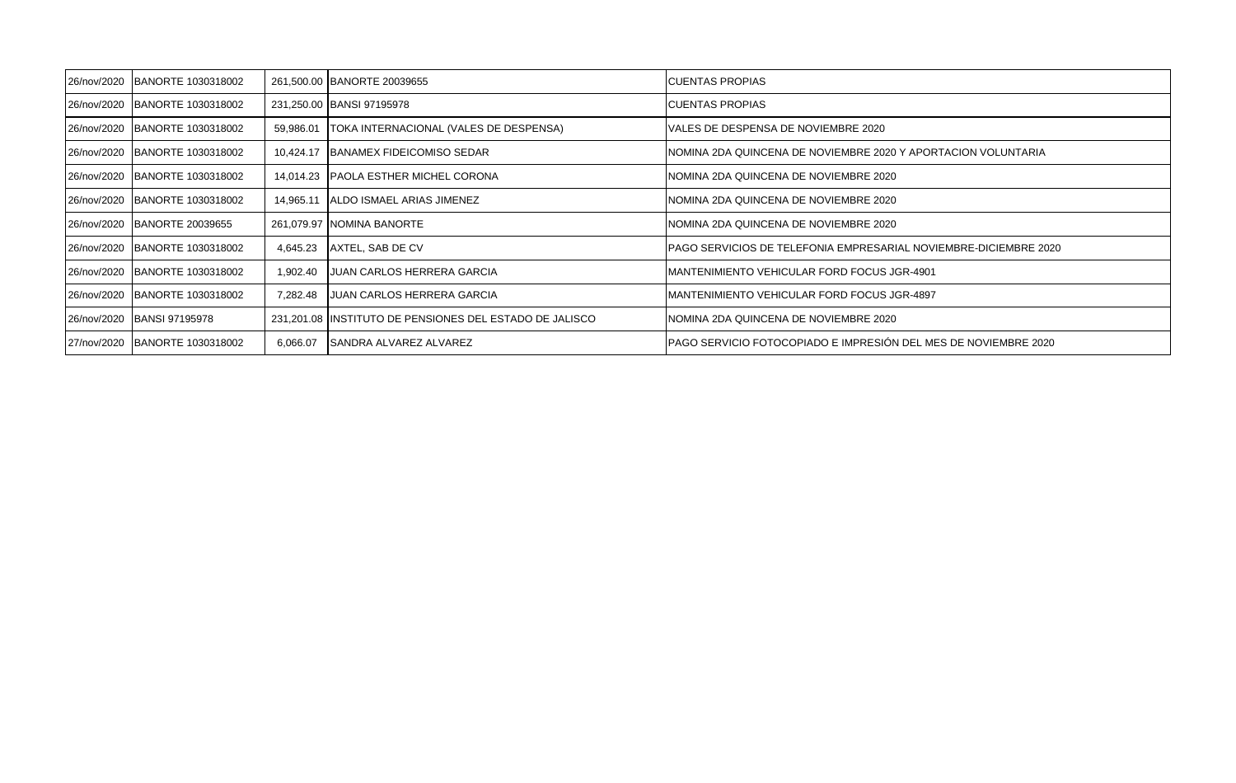| 26/nov/2020 BANORTE 1030318002 |           | 261,500.00 BANORTE 20039655                              | <b>CUENTAS PROPIAS</b>                                           |
|--------------------------------|-----------|----------------------------------------------------------|------------------------------------------------------------------|
| 26/nov/2020 BANORTE 1030318002 |           | 231,250.00 BANSI 97195978                                | ICUENTAS PROPIAS                                                 |
| 26/nov/2020 BANORTE 1030318002 |           | 59,986.01   TOKA INTERNACIONAL (VALES DE DESPENSA)       | VALES DE DESPENSA DE NOVIEMBRE 2020                              |
| 26/nov/2020 BANORTE 1030318002 |           | 10,424.17   BANAMEX FIDEICOMISO SEDAR                    | NOMINA 2DA QUINCENA DE NOVIEMBRE 2020 Y APORTACION VOLUNTARIA    |
| 26/nov/2020 BANORTE 1030318002 |           | 14.014.23 PAOLA ESTHER MICHEL CORONA                     | NOMINA 2DA QUINCENA DE NOVIEMBRE 2020                            |
| 26/nov/2020 BANORTE 1030318002 | 14,965.11 | IALDO ISMAEL ARIAS JIMENEZ                               | NOMINA 2DA QUINCENA DE NOVIEMBRE 2020                            |
| 26/nov/2020 BANORTE 20039655   |           | 261,079.97 NOMINA BANORTE                                | NOMINA 2DA QUINCENA DE NOVIEMBRE 2020                            |
| 26/nov/2020 BANORTE 1030318002 | 4,645.23  | AXTEL, SAB DE CV                                         | PAGO SERVICIOS DE TELEFONIA EMPRESARIAL NOVIEMBRE-DICIEMBRE 2020 |
| 26/nov/2020 BANORTE 1030318002 | 1,902.40  | IJUAN CARLOS HERRERA GARCIA                              | MANTENIMIENTO VEHICULAR FORD FOCUS JGR-4901                      |
| 26/nov/2020 BANORTE 1030318002 | 7,282.48  | IJUAN CARLOS HERRERA GARCIA                              | MANTENIMIENTO VEHICULAR FORD FOCUS JGR-4897                      |
| 26/nov/2020 BANSI 97195978     |           | 231,201.08 IINSTITUTO DE PENSIONES DEL ESTADO DE JALISCO | NOMINA 2DA QUINCENA DE NOVIEMBRE 2020                            |
| 27/nov/2020 BANORTE 1030318002 | 6,066.07  | <b>SANDRA ALVAREZ ALVAREZ</b>                            | PAGO SERVICIO FOTOCOPIADO E IMPRESIÓN DEL MES DE NOVIEMBRE 2020  |